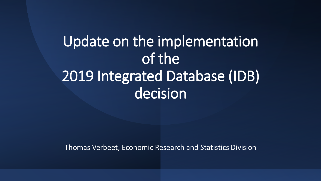# Update on the implementation of the 2019 Integrated Database (IDB) decision

Thomas Verbeet, Economic Research and Statistics Division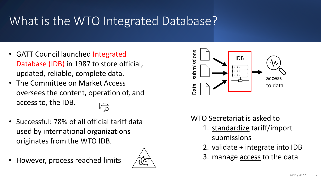## What is the WTO Integrated Database?

- GATT Council launched Integrated Database (IDB) in 1987 to store official, updated, reliable, complete data.
- The Committee on Market Access oversees the content, operation of, and access to, the IDB.
- Successful: 78% of all official tariff data used by international organizations originates from the WTO IDB.
- However, process reached limits





WTO Secretariat is asked to

- 1. standardize tariff/import submissions
- 2. validate + integrate into IDB
- 3. manage **access** to the data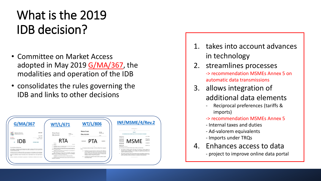## What is the 2019 IDB decision?

- Committee on Market Access adopted in May 2019 G/MA/367, the modalities and operation of the IDB
- consolidates the rules governing the IDB and links to other decisions



- 1. takes into account advances in technology
- 2. streamlines processes -> recommendation MSMEs Annex 5 on automatic data transmissions
- 3. allows integration of additional data elements
	- Reciprocal preferences (tariffs & imports)
	- -> recommendation MSMEs Annex 5
	- Internal taxes and duties
	- Ad-valorem equivalents
	- Imports under TRQs
- 4. Enhances access to data
	- project to improve online data portal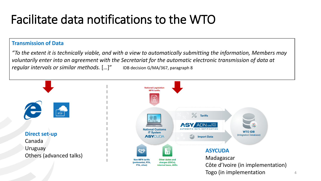#### Facilitate data notifications to the WTO

#### **Transmission of Data**

*"To the extent it is technically viable, and with a view to automatically submitting the information, Members may voluntarily enter into an agreement with the Secretariat for the automatic electronic transmission of data at regular intervals or similar methods.* […]" IDB decision G/MA/367, paragraph 8